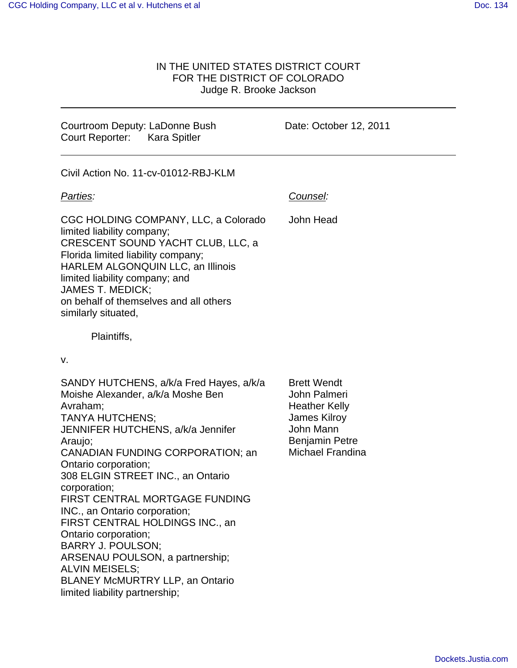## IN THE UNITED STATES DISTRICT COURT FOR THE DISTRICT OF COLORADO Judge R. Brooke Jackson

Courtroom Deputy: LaDonne Bush Court Reporter: Kara Spitler

Date: October 12, 2011

Counsel:

Civil Action No. 11-cv-01012-RBJ-KLM

## Parties:

CGC HOLDING COMPANY, LLC, a Colorado limited liability company; CRESCENT SOUND YACHT CLUB, LLC, a Florida limited liability company; HARLEM ALGONQUIN LLC, an Illinois limited liability company; and JAMES T. MEDICK; on behalf of themselves and all others similarly situated, John Head

Plaintiffs,

v.

| SANDY HUTCHENS, a/k/a Fred Hayes, a/k/a<br>Moishe Alexander, a/k/a Moshe Ben | <b>Brett Wendt</b><br>John Palmeri |
|------------------------------------------------------------------------------|------------------------------------|
| Avraham;                                                                     | <b>Heather Kelly</b>               |
| <b>TANYA HUTCHENS:</b>                                                       | <b>James Kilroy</b>                |
| JENNIFER HUTCHENS, a/k/a Jennifer                                            | John Mann                          |
|                                                                              | <b>Benjamin Petre</b>              |
| Araujo;                                                                      |                                    |
| <b>CANADIAN FUNDING CORPORATION; an</b>                                      | Michael Frandina                   |
| Ontario corporation;                                                         |                                    |
| 308 ELGIN STREET INC., an Ontario                                            |                                    |
| corporation;                                                                 |                                    |
| FIRST CENTRAL MORTGAGE FUNDING                                               |                                    |
| INC., an Ontario corporation;                                                |                                    |
| FIRST CENTRAL HOLDINGS INC., an                                              |                                    |
| Ontario corporation;                                                         |                                    |
| <b>BARRY J. POULSON:</b>                                                     |                                    |
| ARSENAU POULSON, a partnership;                                              |                                    |
| <b>ALVIN MEISELS:</b>                                                        |                                    |
| <b>BLANEY McMURTRY LLP, an Ontario</b>                                       |                                    |
| limited liability partnership;                                               |                                    |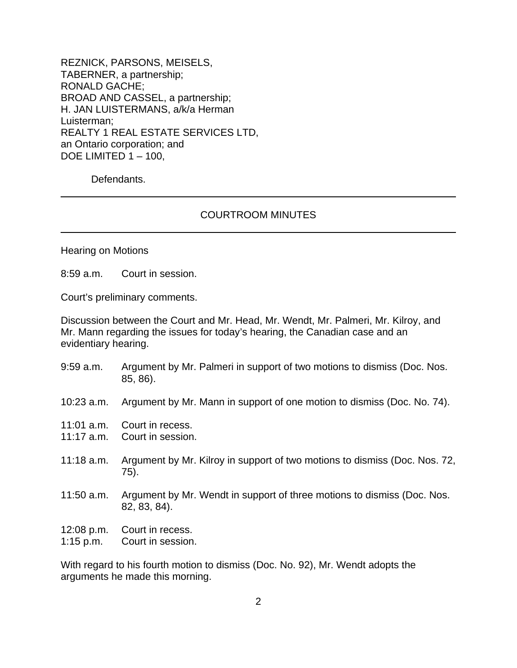REZNICK, PARSONS, MEISELS, TABERNER, a partnership; RONALD GACHE; BROAD AND CASSEL, a partnership; H. JAN LUISTERMANS, a/k/a Herman Luisterman; REALTY 1 REAL ESTATE SERVICES LTD, an Ontario corporation; and DOE LIMITED 1 – 100,

Defendants.

## COURTROOM MINUTES

Hearing on Motions

8:59 a.m. Court in session.

Court's preliminary comments.

Discussion between the Court and Mr. Head, Mr. Wendt, Mr. Palmeri, Mr. Kilroy, and Mr. Mann regarding the issues for today's hearing, the Canadian case and an evidentiary hearing.

- 9:59 a.m. Argument by Mr. Palmeri in support of two motions to dismiss (Doc. Nos. 85, 86).
- 10:23 a.m. Argument by Mr. Mann in support of one motion to dismiss (Doc. No. 74).
- 11:01 a.m. Court in recess.
- 11:17 a.m. Court in session.
- 11:18 a.m. Argument by Mr. Kilroy in support of two motions to dismiss (Doc. Nos. 72, 75).
- 11:50 a.m. Argument by Mr. Wendt in support of three motions to dismiss (Doc. Nos. 82, 83, 84).
- 12:08 p.m. Court in recess.
- 1:15 p.m. Court in session.

With regard to his fourth motion to dismiss (Doc. No. 92), Mr. Wendt adopts the arguments he made this morning.